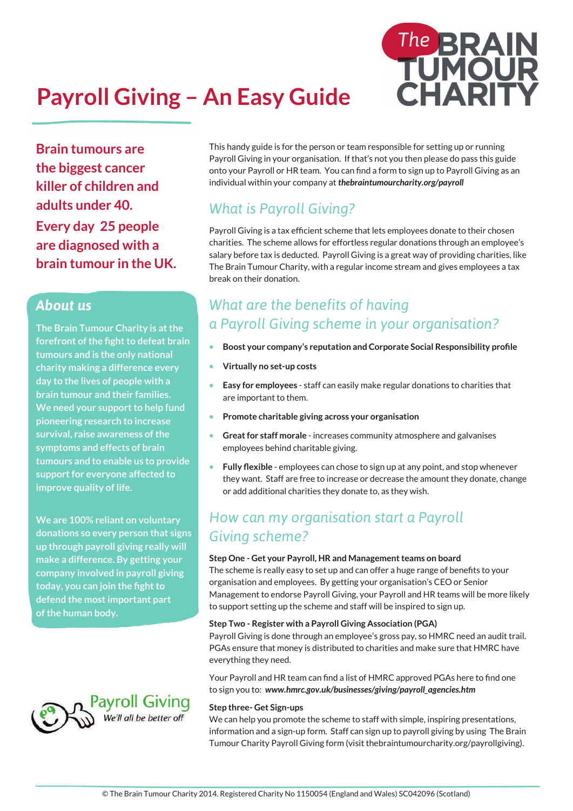

# **Payroll Giving – An Easy Guide**

**Brain tumours are the biggest cancer killer of children and adults under 40. Every day 25 people are diagnosed with a brain tumour in the UK.** 

### *About us*

**The Brain Tumour Charity is at the forefront of the fight to defeat brain tumours and is the only national charity making a difference every day to the lives of people with a brain tumour and their families. We need your support to help fund pioneering research to increase survival, raise awareness of the symptoms and effects of brain tumours and to enable us to provide support for everyone affected to improve quality of life.** 

**We are 100% reliant on voluntary donations so every person that signs up through payroll giving really will make a difference. By getting your company involved in payroll giving today, you can join the fight to defend the most important part of the human body.** 



This handy guide is for the person or team responsible for setting up or running Payroll Giving in your organisation. If that's not you then please do pass this guide onto your Payroll or HR team. You can find a form to sign up to Payroll Giving as an individual within your company at *[thebraintumourcharity.org/payroll](http://www.thebraintumourcharity.org/payroll)*

### *What is Payroll Giving?*

Payroll Giving is a tax efficient scheme that lets employees donate to their chosen charities. The scheme allows for effortless regular donations through an employee's salary before tax is deducted. Payroll Giving is a great way of providing charities, like The Brain Tumour Charity, with a regular income stream and gives employees a tax break on their donation.

### *What are the benefits of having a Payroll Giving scheme in your organisation?*

- **Boost your company's reputation and Corporate Social Responsibility profile**
- **Virtually no set-up costs**
- **Easy for employees** staff can easily make regular donations to charities that are important to them.
- **Promote charitable giving across your organisation**
- **Great for staff morale** increases community atmosphere and galvanises employees behind charitable giving.
- **Fully flexible** employees can chose to sign up at any point, and stop whenever they want. Staff are free to increase or decrease the amount they donate, change or add additional charities they donate to, as they wish.

### *How can my organisation start a Payroll Giving scheme?*

#### **Step One - Get your Payroll, HR and Management teams on board**

The scheme is really easy to set up and can offer a huge range of benefits to your organisation and employees. By getting your organisation's CEO or Senior Management to endorse Payroll Giving, your Payroll and HR teams will be more likely to support setting up the scheme and staff will be inspired to sign up.

#### **Step Two - Register with a Payroll Giving Association (PGA)**

Payroll Giving is done through an employee's gross pay, so HMRC need an audit trail. PGAs ensure that money is distributed to charities and make sure that HMRC have everything they need.

Your Payroll and HR team can find a list of HMRC approved PGAs here to find one to sign you to: *[www.hmrc.gov.uk/businesses/giving/payroll\\_agencies.htm](http://www.hmrc.gov.uk/businesses/giving/payroll_agencies.htm)*

#### **Step three- Get Sign-ups**

We can help you promote the scheme to staff with simple, inspiring presentations, information and a sign-up form. Staff can sign up to payroll giving by using The Brain Tumour Charity Payroll Giving form (visit thebraintumourcharity.org/payrollgiving).